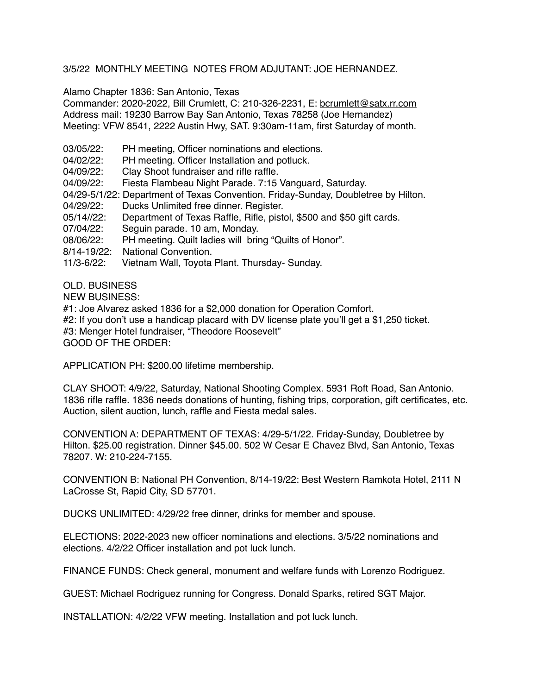## 3/5/22 MONTHLY MEETING NOTES FROM ADJUTANT: JOE HERNANDEZ.

Alamo Chapter 1836: San Antonio, Texas

Commander: 2020-2022, Bill Crumlett, C: 210-326-2231, E: [bcrumlett@satx.rr.com](mailto:bcrumlett@satx.rr.com) Address mail: 19230 Barrow Bay San Antonio, Texas 78258 (Joe Hernandez) Meeting: VFW 8541, 2222 Austin Hwy, SAT. 9:30am-11am, first Saturday of month.

- 03/05/22: PH meeting, Officer nominations and elections.
- 04/02/22: PH meeting. Officer Installation and potluck.
- 04/09/22: Clay Shoot fundraiser and rifle raffle.
- 04/09/22: Fiesta Flambeau Night Parade. 7:15 Vanguard, Saturday.
- 04/29-5/1/22: Department of Texas Convention. Friday-Sunday, Doubletree by Hilton.
- 04/29/22: Ducks Unlimited free dinner. Register.
- 05/14//22: Department of Texas Raffle, Rifle, pistol, \$500 and \$50 gift cards.
- 07/04/22: Seguin parade. 10 am, Monday.
- 08/06/22: PH meeting. Quilt ladies will bring "Quilts of Honor".
- 8/14-19/22: National Convention.
- 11/3-6/22: Vietnam Wall, Toyota Plant. Thursday- Sunday.

OLD. BUSINESS

NEW BUSINESS:

#1: Joe Alvarez asked 1836 for a \$2,000 donation for Operation Comfort.

#2: If you don't use a handicap placard with DV license plate you'll get a \$1,250 ticket.

#3: Menger Hotel fundraiser, "Theodore Roosevelt"

GOOD OF THE ORDER:

APPLICATION PH: \$200.00 lifetime membership.

CLAY SHOOT: 4/9/22, Saturday, National Shooting Complex. 5931 Roft Road, San Antonio. 1836 rifle raffle. 1836 needs donations of hunting, fishing trips, corporation, gift certificates, etc. Auction, silent auction, lunch, raffle and Fiesta medal sales.

CONVENTION A: DEPARTMENT OF TEXAS: 4/29-5/1/22. Friday-Sunday, Doubletree by Hilton. \$25.00 registration. Dinner \$45.00. 502 W Cesar E Chavez Blvd, San Antonio, Texas 78207. W: 210-224-7155.

CONVENTION B: National PH Convention, 8/14-19/22: Best Western Ramkota Hotel, 2111 N LaCrosse St, Rapid City, SD 57701.

DUCKS UNLIMITED: 4/29/22 free dinner, drinks for member and spouse.

ELECTIONS: 2022-2023 new officer nominations and elections. 3/5/22 nominations and elections. 4/2/22 Officer installation and pot luck lunch.

FINANCE FUNDS: Check general, monument and welfare funds with Lorenzo Rodriguez.

GUEST: Michael Rodriguez running for Congress. Donald Sparks, retired SGT Major.

INSTALLATION: 4/2/22 VFW meeting. Installation and pot luck lunch.